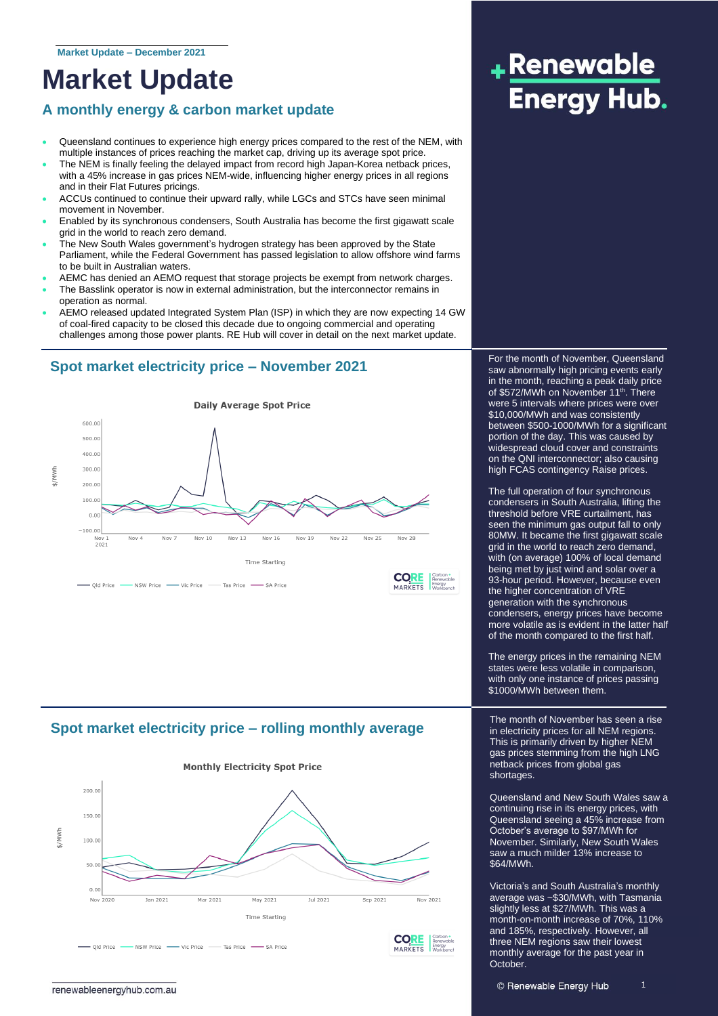## **Market Update**

## **A monthly energy & carbon market update**

- Queensland continues to experience high energy prices compared to the rest of the NEM, with multiple instances of prices reaching the market cap, driving up its average spot price.
- The NEM is finally feeling the delayed impact from record high Japan-Korea netback prices, with a 45% increase in gas prices NEM-wide, influencing higher energy prices in all regions and in their Flat Futures pricings.
- ACCUs continued to continue their upward rally, while LGCs and STCs have seen minimal movement in November.
- Enabled by its synchronous condensers, South Australia has become the first gigawatt scale grid in the world to reach zero demand.
- The New South Wales government's hydrogen strategy has been approved by the State Parliament, while the Federal Government has passed legislation to allow offshore wind farms to be built in Australian waters.
- AEMC has denied an AEMO request that storage projects be exempt from network charges.
- The Basslink operator is now in external administration, but the interconnector remains in operation as normal.
- AEMO released updated Integrated System Plan (ISP) in which they are now expecting 14 GW of coal-fired capacity to be closed this decade due to ongoing commercial and operating challenges among those power plants. RE Hub will cover in detail on the next market update.

### **Spot market electricity price – November 2021**



### **Spot market electricity price – rolling monthly average**



# +Renewable **Energy Hub.**

For the month of November, Queensland saw abnormally high pricing events early in the month, reaching a peak daily price of \$572/MWh on November 11<sup>th</sup>. There were 5 intervals where prices were over \$10,000/MWh and was consistently between \$500-1000/MWh for a significant portion of the day. This was caused by widespread cloud cover and constraints on the QNI interconnector; also causing high FCAS contingency Raise prices.

The full operation of four synchronous condensers in South Australia, lifting the threshold before VRE curtailment, has seen the minimum gas output fall to only 80MW. It became the first gigawatt scale grid in the world to reach zero demand, with (on average) 100% of local demand being met by just wind and solar over a 93-hour period. However, because even the higher concentration of VRE generation with the synchronous condensers, energy prices have become more volatile as is evident in the latter half of the month compared to the first half.

The energy prices in the remaining NEM states were less volatile in comparison, with only one instance of prices passing \$1000/MWh between them.

The month of November has seen a rise in electricity prices for all NEM regions. This is primarily driven by higher NEM gas prices stemming from the high LNG netback prices from global gas shortages.

Queensland and New South Wales saw a continuing rise in its energy prices, with Queensland seeing a 45% increase from October's average to \$97/MWh for November. Similarly, New South Wales saw a much milder 13% increase to \$64/MWh.

Victoria's and South Australia's monthly average was ~\$30/MWh, with Tasmania slightly less at \$27/MWh. This was a month-on-month increase of 70%, 110% and 185%, respectively. However, all three NEM regions saw their lowest monthly average for the past year in October.

1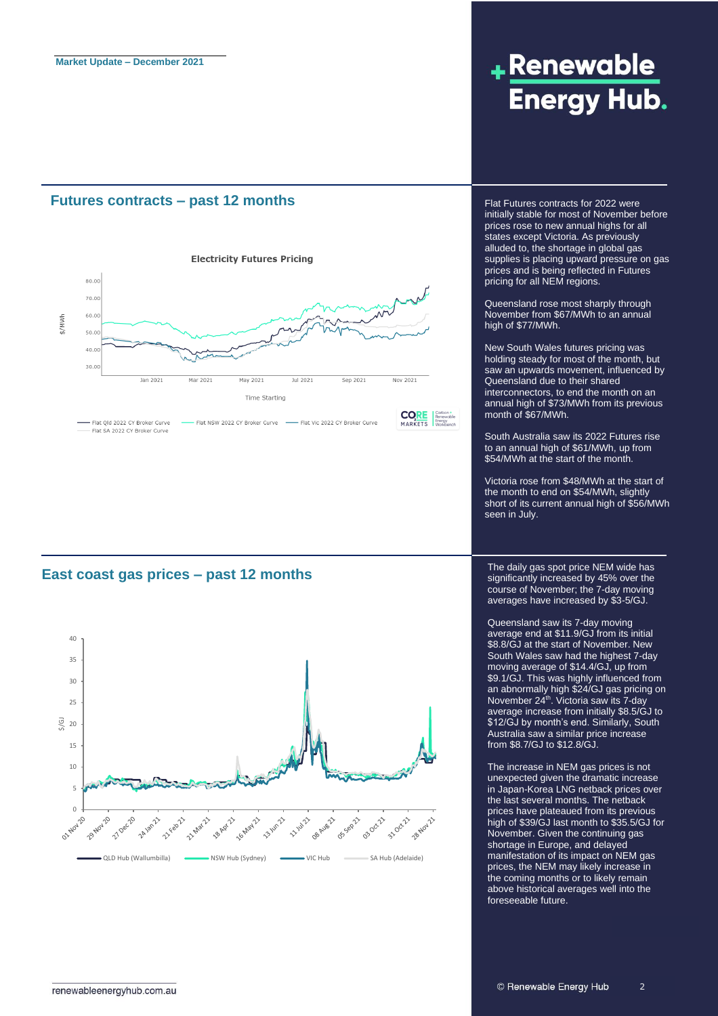#### **Futures contracts – past 12 months**



**East coast gas prices – past 12 months**



## +Renewable **Energy Hub.**

Flat Futures contracts for 2022 were initially stable for most of November before prices rose to new annual highs for all states except Victoria. As previously alluded to, the shortage in global gas supplies is placing upward pressure on gas prices and is being reflected in Futures pricing for all NEM regions.

Queensland rose most sharply through November from \$67/MWh to an annual high of \$77/MWh.

New South Wales futures pricing was holding steady for most of the month, but saw an upwards movement, influenced by Queensland due to their shared interconnectors, to end the month on an annual high of \$73/MWh from its previous month of \$67/MWh.

South Australia saw its 2022 Futures rise to an annual high of \$61/MWh, up from \$54/MWh at the start of the month.

Victoria rose from \$48/MWh at the start of the month to end on \$54/MWh, slightly short of its current annual high of \$56/MWh seen in July.

The daily gas spot price NEM wide has significantly increased by 45% over the course of November; the 7-day moving averages have increased by \$3-5/GJ.

Queensland saw its 7-day moving average end at \$11.9/GJ from its initial \$8.8/GJ at the start of November. New South Wales saw had the highest 7-day moving average of \$14.4/GJ, up from \$9.1/GJ. This was highly influenced from an abnormally high \$24/GJ gas pricing on November 24<sup>th</sup>. Victoria saw its 7-day average increase from initially \$8.5/GJ to \$12/GJ by month's end. Similarly, South Australia saw a similar price increase from \$8.7/GJ to \$12.8/GJ.

The increase in NEM gas prices is not unexpected given the dramatic increase in Japan-Korea LNG netback prices over the last several months. The netback prices have plateaued from its previous high of \$39/GJ last month to \$35.5/GJ for November. Given the continuing gas shortage in Europe, and delayed manifestation of its impact on NEM gas prices, the NEM may likely increase in the coming months or to likely remain above historical averages well into the foreseeable future.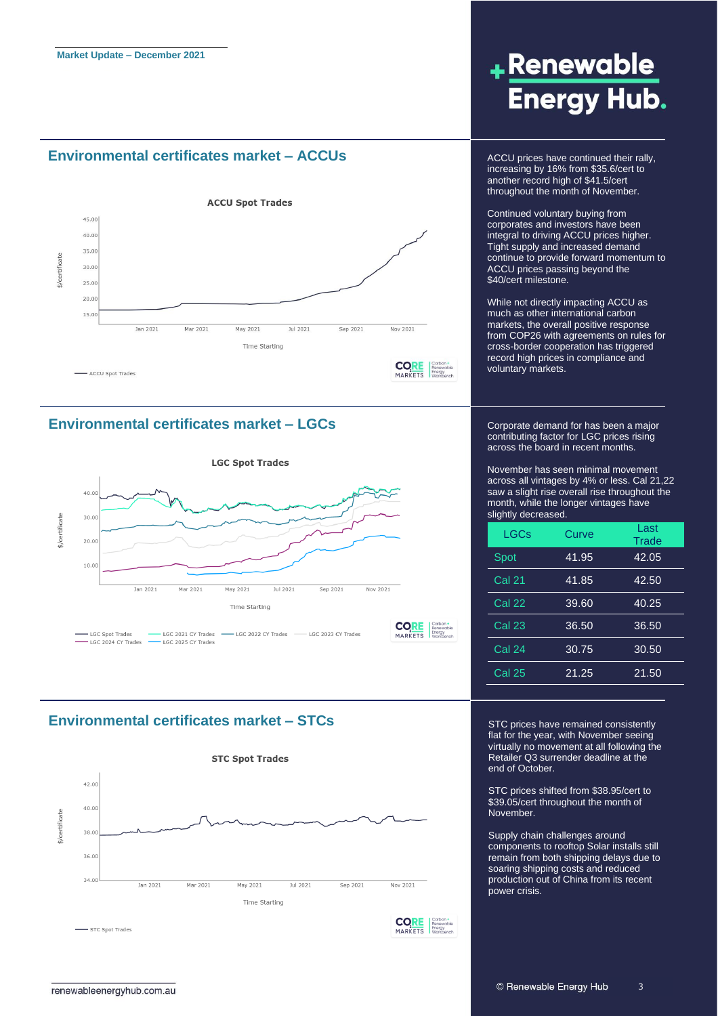#### **Environmental certificates market – ACCUs** ACCU prices have continued their rally,



#### **Environmental certificates market – LGCs**



#### **Environmental certificates market – STCs**



## +Renewable **Energy Hub.**

increasing by 16% from \$35.6/cert to another record high of \$41.5/cert throughout the month of November.

Continued voluntary buying from corporates and investors have been integral to driving ACCU prices higher. Tight supply and increased demand continue to provide forward momentum to ACCU prices passing beyond the \$40/cert milestone.

While not directly impacting ACCU as much as other international carbon markets, the overall positive response from COP26 with agreements on rules for cross-border cooperation has triggered record high prices in compliance and voluntary markets.

Corporate demand for has been a major contributing factor for LGC prices rising across the board in recent months.

November has seen minimal movement across all vintages by 4% or less. Cal 21,22 saw a slight rise overall rise throughout the month, while the longer vintages have slightly decreased.

| <b>LGCs</b>   | Curve | Last<br>Trade |
|---------------|-------|---------------|
| Spot          | 41.95 | 42.05         |
| <b>Cal 21</b> | 41.85 | 42.50         |
| <b>Cal 22</b> | 39.60 | 40.25         |
| <b>Cal 23</b> | 36.50 | 36.50         |
| <b>Cal 24</b> | 30.75 | 30.50         |
| <b>Cal 25</b> | 21.25 | 21.50         |

STC prices have remained consistently flat for the year, with November seeing virtually no movement at all following the Retailer Q3 surrender deadline at the end of October.

STC prices shifted from \$38.95/cert to \$39.05/cert throughout the month of November.

Supply chain challenges around components to rooftop Solar installs still remain from both shipping delays due to soaring shipping costs and reduced production out of China from its recent power crisis.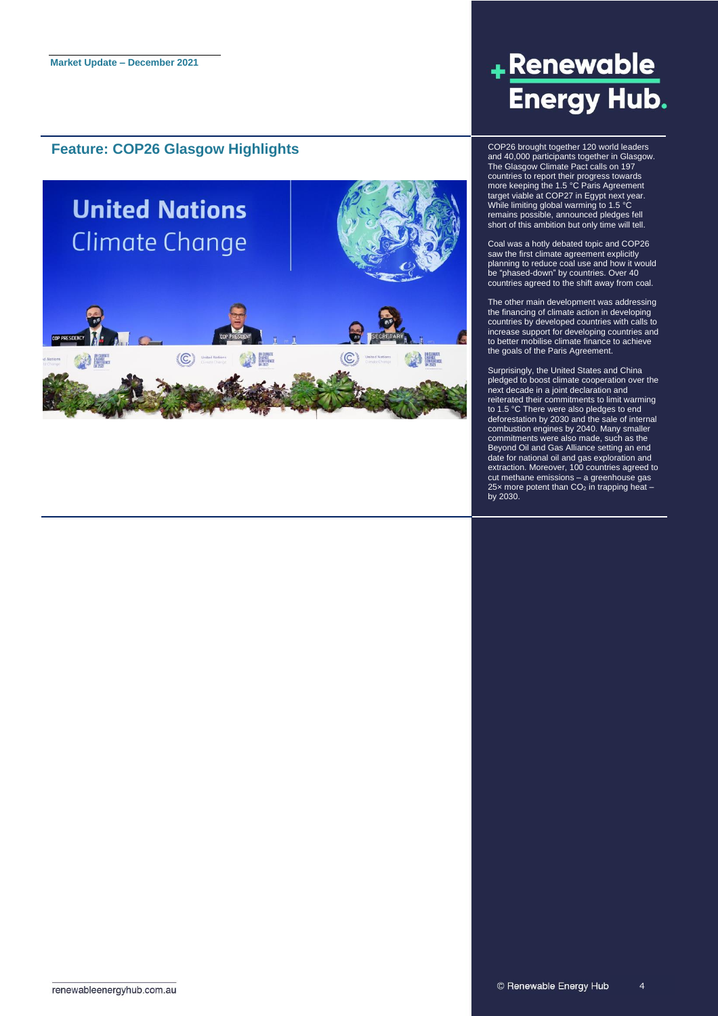#### **Feature: COP26 Glasgow Highlights** COP26 brought together 120 world leaders



## <u>+Renewable</u> **Energy Hub.**

and 40,000 participants together in Glasgow. The Glasgow Climate Pact calls on 197 countries to report their progress towards more keeping the 1.5 °C Paris Agreement target viable at COP27 in Egypt next year. While limiting global warming to 1.5 °C remains possible, announced pledges fell short of this ambition but only time will tell.

Coal was a hotly debated topic and COP26 saw the first climate agreement explicitly planning to reduce coal use and how it would be "phased-down" by countries. Over 40 countries agreed to the shift away from coal.

The other main development was addressing the financing of climate action in developing countries by developed countries with calls to increase support for developing countries and to better mobilise climate finance to achieve the goals of the Paris Agreement.

Surprisingly, the United States and China pledged to boost climate cooperation over the next decade in a joint declaration and reiterated their commitments to limit warming to 1.5 °C There were also pledges to end deforestation by 2030 and the sale of internal combustion engines by 2040. Many smaller commitments were also made, such as the Beyond Oil and Gas Alliance setting an end date for national oil and gas exploration and extraction. Moreover, 100 countries agreed to cut methane emissions – a greenhouse gas 25 $\times$  more potent than CO<sub>2</sub> in trapping heat by 2030.